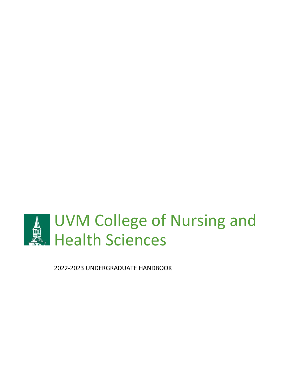

2022-2023 UNDERGRADUATE HANDBOOK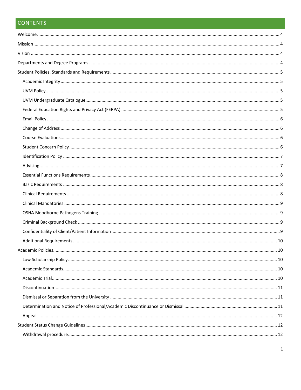# **CONTENTS**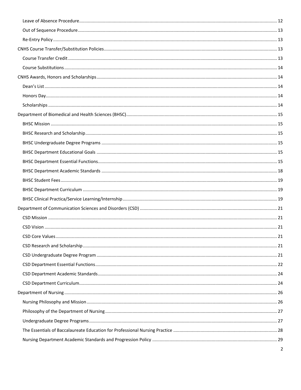| 2 |
|---|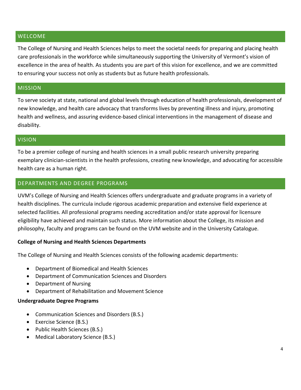#### <span id="page-4-0"></span>WELCOME

The College of Nursing and Health Sciences helps to meet the societal needs for preparing and placing health care professionals in the workforce while simultaneously supporting the University of Vermont's vision of excellence in the area of health. As students you are part of this vision for excellence, and we are committed to ensuring your success not only as students but as future health professionals.

# <span id="page-4-1"></span>MISSION

To serve society at state, national and global levels through education of health professionals, development of new knowledge, and health care advocacy that transforms lives by preventing illness and injury, promoting health and wellness, and assuring evidence-based clinical interventions in the management of disease and disability.

#### <span id="page-4-2"></span>VISION

To be a premier college of nursing and health sciences in a small public research university preparing exemplary clinician-scientists in the health professions, creating new knowledge, and advocating for accessible health care as a human right.

### <span id="page-4-3"></span>DEPARTMENTS AND DEGREE PROGRAMS

UVM's College of Nursing and Health Sciences offers undergraduate and graduate programs in a variety of health disciplines. The curricula include rigorous academic preparation and extensive field experience at selected facilities. All professional programs needing accreditation and/or state approval for licensure eligibility have achieved and maintain such status. More information about the College, its mission and philosophy, faculty and programs can be found on the UVM website and in the University Catalogue.

#### **College of Nursing and Health Sciences Departments**

The College of Nursing and Health Sciences consists of the following academic departments:

- Department of Biomedical and Health Sciences
- Department of Communication Sciences and Disorders
- Department of Nursing
- Department of Rehabilitation and Movement Science

#### **Undergraduate Degree Programs**

- Communication Sciences and Disorders (B.S.)
- Exercise Science (B.S.)
- Public Health Sciences (B.S.)
- Medical Laboratory Science (B.S.)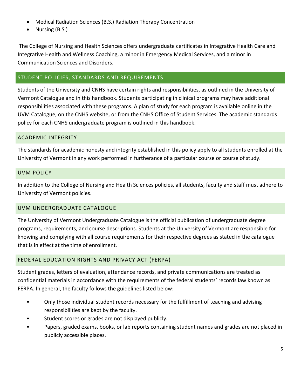- Medical Radiation Sciences (B.S.) Radiation Therapy Concentration
- Nursing (B.S.)

The College of Nursing and Health Sciences offers undergraduate certificates in Integrative Health Care and Integrative Health and Wellness Coaching, a minor in Emergency Medical Services, and a minor in Communication Sciences and Disorders.

### <span id="page-5-0"></span>STUDENT POLICIES, STANDARDS AND REQUIREMENTS

Students of the University and CNHS have certain rights and responsibilities, as outlined in the University of Vermont Catalogue and in this handbook. Students participating in clinical programs may have additional responsibilities associated with these programs. A plan of study for each program is available online in the UVM Catalogue, on the CNHS website, or from the CNHS Office of Student Services. The academic standards policy for each CNHS undergraduate program is outlined in this handbook.

#### <span id="page-5-1"></span>ACADEMIC INTEGRITY

The standards for academic honesty and integrity established in this policy apply to all students enrolled at the University of Vermont in any work performed in furtherance of a particular course or course of study.

#### <span id="page-5-2"></span>UVM POLICY

In addition to the College of Nursing and Health Sciences policies, all students, faculty and staff must adhere to University of Vermont policies.

#### <span id="page-5-3"></span>UVM UNDERGRADUATE CATALOGUE

The University of Vermont Undergraduate Catalogue is the official publication of undergraduate degree programs, requirements, and course descriptions. Students at the University of Vermont are responsible for knowing and complying with all course requirements for their respective degrees as stated in the catalogue that is in effect at the time of enrollment.

#### <span id="page-5-4"></span>FEDERAL EDUCATION RIGHTS AND PRIVACY ACT (FERPA)

Student grades, letters of evaluation, attendance records, and private communications are treated as confidential materials in accordance with the requirements of the federal students' records law known as FERPA. In general, the faculty follows the guidelines listed below:

- Only those individual student records necessary for the fulfillment of teaching and advising responsibilities are kept by the faculty.
- Student scores or grades are not displayed publicly.
- Papers, graded exams, books, or lab reports containing student names and grades are not placed in publicly accessible places.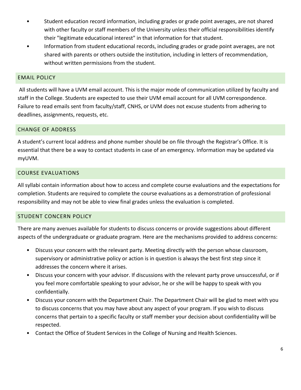- Student education record information, including grades or grade point averages, are not shared with other faculty or staff members of the University unless their official responsibilities identify their "legitimate educational interest" in that information for that student.
- Information from student educational records, including grades or grade point averages, are not shared with parents or others outside the institution, including in letters of recommendation, without written permissions from the student.

### <span id="page-6-0"></span>EMAIL POLICY

All students will have a UVM email account. This is the major mode of communication utilized by faculty and staff in the College. Students are expected to use their UVM email account for all UVM correspondence. Failure to read emails sent from faculty/staff, CNHS, or UVM does not excuse students from adhering to deadlines, assignments, requests, etc.

### <span id="page-6-1"></span>CHANGE OF ADDRESS

A student's current local address and phone number should be on file through the Registrar's Office. It is essential that there be a way to contact students in case of an emergency. Information may be updated via myUVM.

### <span id="page-6-2"></span>COURSE EVALUATIONS

All syllabi contain information about how to access and complete course evaluations and the expectations for completion. Students are required to complete the course evaluations as a demonstration of professional responsibility and may not be able to view final grades unless the evaluation is completed.

## <span id="page-6-3"></span>STUDENT CONCERN POLICY

There are many avenues available for students to discuss concerns or provide suggestions about different aspects of the undergraduate or graduate program. Here are the mechanisms provided to address concerns:

- Discuss your concern with the relevant party. Meeting directly with the person whose classroom, supervisory or administrative policy or action is in question is always the best first step since it addresses the concern where it arises.
- Discuss your concern with your advisor. If discussions with the relevant party prove unsuccessful, or if you feel more comfortable speaking to your advisor, he or she will be happy to speak with you confidentially.
- Discuss your concern with the Department Chair. The Department Chair will be glad to meet with you to discuss concerns that you may have about any aspect of your program. If you wish to discuss concerns that pertain to a specific faculty or staff member your decision about confidentiality will be respected.
- Contact the Office of Student Services in the College of Nursing and Health Sciences.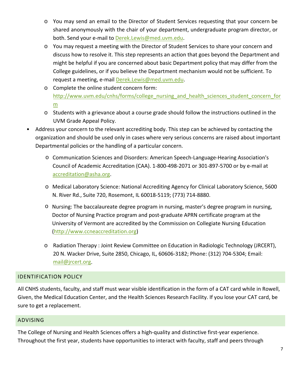- o You may send an email to the Director of Student Services requesting that your concern be shared anonymously with the chair of your department, undergraduate program director, or both. Send your e-mail to Derek.Lewis@med.uvm.edu.
- o You may request a meeting with the Director of Student Services to share your concern and discuss how to resolve it. This step represents an action that goes beyond the Department and might be helpful if you are concerned about basic Department policy that may differ from the College guidelines, or if you believe the Department mechanism would not be sufficient. To request a meeting, e-mail [Derek.Lewis](mailto:Erica.Caloiero@uvm.edu)@med.uvm.edu.
- o Complete the online student concern form: [http://www.uvm.edu/cnhs/forms/college\\_nursing\\_and\\_health\\_sciences\\_student\\_concern\\_for](http://www.uvm.edu/cnhs/forms/college_nursing_and_health_sciences_student_concern_form) [m](http://www.uvm.edu/cnhs/forms/college_nursing_and_health_sciences_student_concern_form)
- o Students with a grievance about a course grade should follow the instructions outlined in the UVM Grade Appeal Policy.
- Address your concern to the relevant accrediting body. This step can be achieved by contacting the organization and should be used only in cases where very serious concerns are raised about important Departmental policies or the handling of a particular concern.
	- o Communication Sciences and Disorders: American Speech-Language-Hearing Association's Council of Academic Accreditation (CAA). 1-800-498-2071 or 301-897-5[700 or by e-mail at](mailto:caate@sbcglobal.net) accreditation@asha.org.
	- o [Medical Laboratory Scien](mailto:accreditation@asha.org)ce: National Accrediting Agency for Clinical Laboratory Science, 5600 N. River Rd., Suite 720, Rosemont, IL 60018-5119; (773) 714-8880.
	- o Nursing: The baccalaureate degree program in nursing, master's degree program in nursing, Doctor of Nursing Practice program and post-graduate APRN certificate program at the University of Vermont are accredited by the Commission on Collegiate Nursing Education [\(http://www.ccneaccreditation.org\)](http://www.ccneaccreditation.org/)
	- o Radiation Therapy : Joint Review Committee on Education in Radiologic Technology (JRCERT), 20 N. Wacker Drive, Suite 2850, Chicago, IL, 60606-3182; Phone: (312) 704-5304; Email: [mail@jrcert.org.](mailto:mail@jrcert.org)

# <span id="page-7-0"></span>IDENTIFICATION POLICY

All CNHS students, faculty, and staff must wear visible identification in the form of a CAT card while in Rowell, Given, the Medical Education Center, and the Health Sciences Research Facility. If you lose your CAT card, be sure to get a replacement.

#### <span id="page-7-1"></span>ADVISING

The College of Nursing and Health Sciences offers a high-quality and distinctive first-year experience. Throughout the first year, students have opportunities to interact with faculty, staff and peers through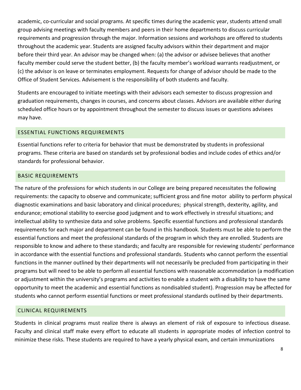academic, co-curricular and social programs. At specific times during the academic year, students attend small group advising meetings with faculty members and peers in their home departments to discuss curricular requirements and progression through the major. Information sessions and workshops are offered to students throughout the academic year. Students are assigned faculty advisors within their department and major before their third year. An advisor may be changed when: (a) the advisor or advisee believes that another faculty member could serve the student better, (b) the faculty member's workload warrants readjustment, or (c) the advisor is on leave or terminates employment. Requests for change of advisor should be made to the Office of Student Services. Advisement is the responsibility of both students and faculty.

Students are encouraged to initiate meetings with their advisors each semester to discuss progression and graduation requirements, changes in courses, and concerns about classes. Advisors are available either during scheduled office hours or by appointment throughout the semester to discuss issues or questions advisees may have.

# <span id="page-8-0"></span>ESSENTIAL FUNCTIONS REQUIREMENTS

Essential functions refer to criteria for behavior that must be demonstrated by students in professional programs. These criteria are based on standards set by professional bodies and include codes of ethics and/or standards for professional behavior.

# <span id="page-8-1"></span>BASIC REQUIREMENTS

The nature of the professions for which students in our College are being prepared necessitates the following requirements: the capacity to observe and communicate; sufficient gross and fine motor ability to perform physical diagnostic examinations and basic laboratory and clinical procedures; physical strength, dexterity, agility, and endurance; emotional stability to exercise good judgment and to work effectively in stressful situations; and intellectual ability to synthesize data and solve problems. Specific essential functions and professional standards requirements for each major and department can be found in this handbook. Students must be able to perform the essential functions and meet the professional standards of the program in which they are enrolled. Students are responsible to know and adhere to these standards; and faculty are responsible for reviewing students' performance in accordance with the essential functions and professional standards. Students who cannot perform the essential functions in the manner outlined by their departments will not necessarily be precluded from participating in their programs but will need to be able to perform all essential functions with reasonable accommodation (a modification or adjustment within the university's programs and activities to enable a student with a disability to have the same opportunity to meet the academic and essential functions as nondisabled student). Progression may be affected for students who cannot perform essential functions or meet professional standards outlined by their departments.

## <span id="page-8-2"></span>CLINICAL REQUIREMENTS

Students in clinical programs must realize there is always an element of risk of exposure to infectious disease. Faculty and clinical staff make every effort to educate all students in appropriate modes of infection control to minimize these risks. These students are required to have a yearly physical exam, and certain immunizations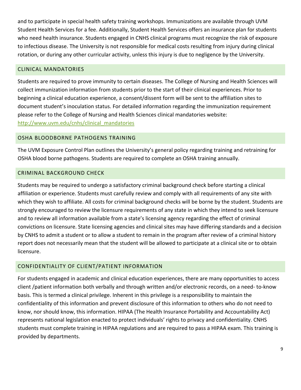and to participate in special health safety training workshops. Immunizations are available through UVM Student Health Services for a fee. Additionally, Student Health Services offers an insurance plan for students who need health insurance. Students engaged in CNHS clinical programs must recognize the risk of exposure to infectious disease. The University is not responsible for medical costs resulting from injury during clinical rotation, or during any other curricular activity, unless this injury is due to negligence by the University.

### <span id="page-9-0"></span>CLINICAL MANDATORIES

Students are required to prove immunity to certain diseases. The College of Nursing and Health Sciences will collect immunization information from students prior to the start of their clinical experiences. Prior to beginning a clinical education experience, a consent/dissent form will be sent to the affiliation sites to document student's inoculation status. For detailed information regarding the immunization requirement please refer to the College of Nursing and Health Sciences clinical mandatories website: [http://www.uvm.edu/cnhs/clinical\\_mandatories](http://www.uvm.edu/cnhs/clinical_mandatories)

### <span id="page-9-1"></span>OSHA BLOODBORNE PATHOGENS TRAINING

The UVM Exposure Control Plan outlines the University's general policy regarding training and retraining for OSHA blood borne pathogens. Students are required to complete an OSHA training annually.

### <span id="page-9-2"></span>CRIMINAL BACKGROUND CHECK

Students may be required to undergo a satisfactory criminal background check before starting a clinical affiliation or experience. Students must carefully review and comply with all requirements of any site with which they wish to affiliate. All costs for criminal background checks will be borne by the student. Students are strongly encouraged to review the licensure requirements of any state in which they intend to seek licensure and to review all information available from a state's licensing agency regarding the effect of criminal convictions on licensure. State licensing agencies and clinical sites may have differing standards and a decision by CNHS to admit a student or to allow a student to remain in the program after review of a criminal history report does not necessarily mean that the student will be allowed to participate at a clinical site or to obtain licensure.

## <span id="page-9-3"></span>CONFIDENTIALITY OF CLIENT/PATIENT INFORMATION

For students engaged in academic and clinical education experiences, there are many opportunities to access client /patient information both verbally and through written and/or electronic records, on a need- to-know basis. This is termed a clinical privilege. Inherent in this privilege is a responsibility to maintain the confidentiality of this information and prevent disclosure of this information to others who do not need to know, nor should know, this information. HIPAA (The Health Insurance Portability and Accountability Act) represents national legislation enacted to protect individuals' rights to privacy and confidentiality. CNHS students must complete training in HIPAA regulations and are required to pass a HIPAA exam. This training is provided by departments.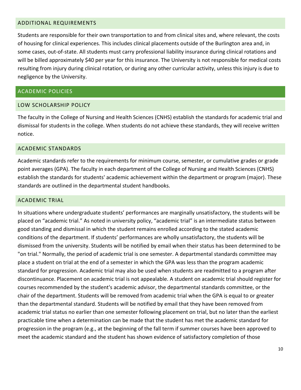#### <span id="page-10-0"></span>ADDITIONAL REQUIREMENTS

Students are responsible for their own transportation to and from clinical sites and, where relevant, the costs of housing for clinical experiences. This includes clinical placements outside of the Burlington area and, in some cases, out-of-state. All students must carry professional liability insurance during clinical rotations and will be billed approximately \$40 per year for this insurance. The University is not responsible for medical costs resulting from injury during clinical rotation, or during any other curricular activity, unless this injury is due to negligence by the University.

#### <span id="page-10-1"></span>ACADEMIC POLICIES

#### <span id="page-10-2"></span>LOW SCHOLARSHIP POLICY

The faculty in the College of Nursing and Health Sciences (CNHS) establish the standards for academic trial and dismissal for students in the college. When students do not achieve these standards, they will receive written notice.

#### <span id="page-10-3"></span>ACADEMIC STANDARDS

Academic standards refer to the requirements for minimum course, semester, or cumulative grades or grade point averages (GPA). The faculty in each department of the College of Nursing and Health Sciences (CNHS) establish the standards for students' academic achievement within the department or program (major). These standards are outlined in the departmental student handbooks.

#### <span id="page-10-4"></span>ACADEMIC TRIAL

In situations where undergraduate students' performances are marginally unsatisfactory, the students will be placed on "academic trial." As noted in university policy, "academic trial" is an intermediate status between good standing and dismissal in which the student remains enrolled according to the stated academic conditions of the department. If students' performances are wholly unsatisfactory, the students will be dismissed from the university. Students will be notified by email when their status has been determined to be "on trial." Normally, the period of academic trial is one semester. A departmental standards committee may place a student on trial at the end of a semester in which the GPA was less than the program academic standard for progression. Academic trial may also be used when students are readmitted to a program after discontinuance. Placement on academic trial is not appealable. A student on academic trial should register for courses recommended by the student's academic advisor, the departmental standards committee, or the chair of the department. Students will be removed from academic trial when the GPA is equal to or greater than the departmental standard. Students will be notified by email that they have been removed from academic trial status no earlier than one semester following placement on trial, but no later than the earliest practicable time when a determination can be made that the student has met the academic standard for progression in the program (e.g., at the beginning of the fall term if summer courses have been approved to meet the academic standard and the student has shown evidence of satisfactory completion of those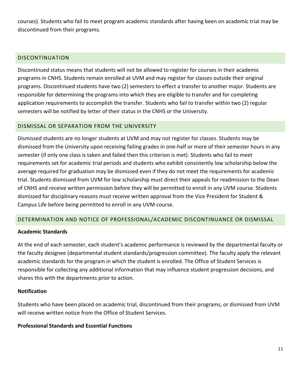courses). Students who fail to meet program academic standards after having been on academic trial may be discontinued from their programs.

## <span id="page-11-0"></span>DISCONTINUATION

Discontinued status means that students will not be allowed to register for courses in their academic programs in CNHS. Students remain enrolled at UVM and may register for classes outside their original programs. Discontinued students have two (2) semesters to effect a transfer to another major. Students are responsible for determining the programs into which they are eligible to transfer and for completing application requirements to accomplish the transfer. Students who fail to transfer within two (2) regular semesters will be notified by letter of their status in the CNHS or the University.

# <span id="page-11-1"></span>DISMISSAL OR SEPARATION FROM THE UNIVERSITY

Dismissed students are no longer students at UVM and may not register for classes. Students may be dismissed from the University upon receiving failing grades in one-half or more of their semester hours in any semester (if only one class is taken and failed then this criterion is met). Students who fail to meet requirements set for academic trial periods and students who exhibit consistently low scholarship below the average required for graduation may be dismissed even if they do not meet the requirements for academic trial. Students dismissed from UVM for low scholarship must direct their appeals for readmission to the Dean of CNHS and receive written permission before they will be permitted to enroll in any UVM course. Students dismissed for disciplinary reasons must receive written approval from the Vice President for Student & Campus Life before being permitted to enroll in any UVM course.

# <span id="page-11-2"></span>DETERMINATION AND NOTICE OF PROFESSIONAL/ACADEMIC DISCONTINUANCE OR DISMISSAL

## **Academic Standards**

At the end of each semester, each student's academic performance is reviewed by the departmental faculty or the faculty designee (departmental student standards/progression committee). The faculty apply the relevant academic standards for the program in which the student is enrolled. The Office of Student Services is responsible for collecting any additional information that may influence student progression decisions, and shares this with the departments prior to action.

## **Notification**

Students who have been placed on academic trial, discontinued from their programs, or dismissed from UVM will receive written notice from the Office of Student Services.

## **Professional Standards and Essential Functions**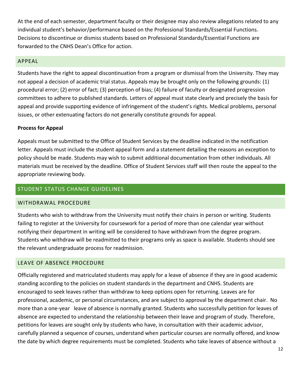At the end of each semester, department faculty or their designee may also review allegations related to any individual student's behavior/performance based on the Professional Standards/Essential Functions. Decisions to discontinue or dismiss students based on Professional Standards/Essential Functions are forwarded to the CNHS Dean's Office for action.

#### <span id="page-12-0"></span>APPEAL

Students have the right to appeal discontinuation from a program or dismissal from the University. They may not appeal a decision of academic trial status. Appeals may be brought only on the following grounds: (1) procedural error; (2) error of fact; (3) perception of bias; (4) failure of faculty or designated progression committees to adhere to published standards. Letters of appeal must state clearly and precisely the basis for appeal and provide supporting evidence of infringement of the student's rights. Medical problems, personal issues, or other extenuating factors do not generally constitute grounds for appeal.

#### **Process for Appeal**

Appeals must be submitted to the Office of Student Services by the deadline indicated in the notification letter. Appeals must include the student appeal form and a statement detailing the reasons an exception to policy should be made. Students may wish to submit additional documentation from other individuals. All materials must be received by the deadline. Office of Student Services staff will then route the appeal to the appropriate reviewing body.

### <span id="page-12-1"></span>STUDENT STATUS CHANGE GUIDELINES

#### <span id="page-12-2"></span>WITHDRAWAL PROCEDURE

Students who wish to withdraw from the University must notify their chairs in person or writing. Students failing to register at the University for coursework for a period of more than one calendar year without notifying their department in writing will be considered to have withdrawn from the degree program. Students who withdraw will be readmitted to their programs only as space is available. Students should see the relevant undergraduate process for readmission.

#### <span id="page-12-3"></span>LEAVE OF ABSENCE PROCEDURE

Officially registered and matriculated students may apply for a leave of absence if they are in good academic standing according to the policies on student standards in the department and CNHS. Students are encouraged to seek leaves rather than withdraw to keep options open for returning. Leaves are for professional, academic, or personal circumstances, and are subject to approval by the department chair. No more than a one-year leave of absence is normally granted. Students who successfully petition for leaves of absence are expected to understand the relationship between their leave and program of study. Therefore, petitions for leaves are sought only by students who have, in consultation with their academic advisor, carefully planned a sequence of courses, understand when particular courses are normally offered, and know the date by which degree requirements must be completed. Students who take leaves of absence without a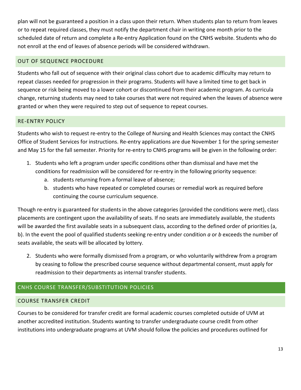plan will not be guaranteed a position in a class upon their return. When students plan to return from leaves or to repeat required classes, they must notify the department chair in writing one month prior to the scheduled date of return and complete a Re-entry Application found on the CNHS website. Students who do not enroll at the end of leaves of absence periods will be considered withdrawn.

### <span id="page-13-0"></span>OUT OF SEQUENCE PROCEDURE

Students who fall out of sequence with their original class cohort due to academic difficulty may return to repeat classes needed for progression in their programs. Students will have a limited time to get back in sequence or risk being moved to a lower cohort or discontinued from their academic program. As curricula change, returning students may need to take courses that were not required when the leaves of absence were granted or when they were required to step out of sequence to repeat courses.

#### <span id="page-13-1"></span>RE-ENTRY POLICY

Students who wish to request re-entry to the College of Nursing and Health Sciences may contact the CNHS Office of Student Services for instructions. Re-entry applications are due November 1 for the spring semester and May 15 for the fall semester. Priority for re-entry to CNHS programs will be given in the following order:

- 1. Students who left a program under specific conditions other than dismissal and have met the conditions for readmission will be considered for re-entry in the following priority sequence:
	- a. students returning from a formal leave of absence;
	- b. students who have repeated or completed courses or remedial work as required before continuing the course curriculum sequence.

Though re-entry is guaranteed for students in the above categories (provided the conditions were met), class placements are contingent upon the availability of seats. If no seats are immediately available, the students will be awarded the first available seats in a subsequent class, according to the defined order of priorities (a, b). In the event the pool of qualified students seeking re-entry under condition *a* or *b* exceeds the number of seats available, the seats will be allocated by lottery.

2. Students who were formally dismissed from a program, or who voluntarily withdrew from a program by ceasing to follow the prescribed course sequence without departmental consent, must apply for readmission to their departments as internal transfer students.

# <span id="page-13-2"></span>CNHS COURSE TRANSFER/SUBSTITUTION POLICIES

#### <span id="page-13-3"></span>COURSE TRANSFER CREDIT

Courses to be considered for transfer credit are formal academic courses completed outside of UVM at another accredited institution. Students wanting to transfer undergraduate course credit from other institutions into undergraduate programs at UVM should follow the policies and procedures outlined for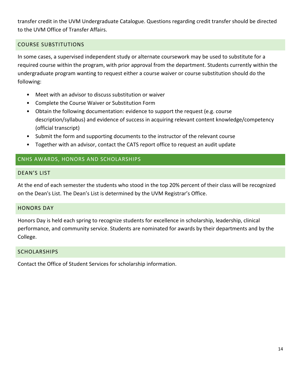transfer credit in the UVM Undergraduate Catalogue. Questions regarding credit transfer should be directed to the UVM Office of Transfer Affairs.

## <span id="page-14-0"></span>COURSE SUBSTITUTIONS

In some cases, a supervised independent study or alternate coursework may be used to substitute for a required course within the program, with prior approval from the department. Students currently within the undergraduate program wanting to request either a course waiver or course substitution should do the following:

- Meet with an advisor to discuss substitution or waiver
- Complete the Course Waiver or Substitution Form
- Obtain the following documentation: evidence to support the request (e.g. course description/syllabus) and evidence of success in acquiring relevant content knowledge/competency (official transcript)
- Submit the form and supporting documents to the instructor of the relevant course
- Together with an advisor, contact the CATS report office to request an audit update

## <span id="page-14-1"></span>CNHS AWARDS, HONORS AND SCHOLARSHIPS

#### <span id="page-14-2"></span>DEAN'S LIST

At the end of each semester the students who stood in the top 20% percent of their class will be recognized on the Dean's List. The Dean's List is determined by the UVM Registrar's Office.

#### <span id="page-14-3"></span>HONORS DAY

Honors Day is held each spring to recognize students for excellence in scholarship, leadership, clinical performance, and community service. Students are nominated for awards by their departments and by the College.

#### <span id="page-14-4"></span>SCHOLARSHIPS

Contact the Office of Student Services for scholarship information.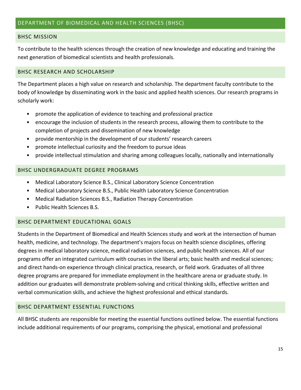#### <span id="page-15-1"></span><span id="page-15-0"></span>BHSC MISSION

To contribute to the health sciences through the creation of new knowledge and educating and training the next generation of biomedical scientists and health professionals.

#### <span id="page-15-2"></span>BHSC RESEARCH AND SCHOLARSHIP

The Department places a high value on research and scholarship. The department faculty contribute to the body of knowledge by disseminating work in the basic and applied health sciences. Our research programs in scholarly work:

- promote the application of evidence to teaching and professional practice
- encourage the inclusion of students in the research process, allowing them to contribute to the completion of projects and dissemination of new knowledge
- provide mentorship in the development of our students' research careers
- promote intellectual curiosity and the freedom to pursue ideas
- provide intellectual stimulation and sharing among colleagues locally, nationally and internationally

### <span id="page-15-3"></span>BHSC UNDERGRADUATE DEGREE PROGRAMS

- Medical Laboratory Science B.S., Clinical Laboratory Science Concentration
- Medical Laboratory Science B.S., Public Health Laboratory Science Concentration
- Medical Radiation Sciences B.S., Radiation Therapy Concentration
- Public Health Sciences B.S.

#### <span id="page-15-4"></span>BHSC DEPARTMENT EDUCATIONAL GOALS

Students in the Department of Biomedical and Health Sciences study and work at the intersection of human health, medicine, and technology. The department's majors focus on health science disciplines, offering degrees in medical laboratory science, medical radiation sciences, and public health sciences. All of our programs offer an integrated curriculum with courses in the liberal arts; basic health and medical sciences; and direct hands-on experience through clinical practica, research, or field work. Graduates of all three degree programs are prepared for immediate employment in the healthcare arena or graduate study. In addition our graduates will demonstrate problem-solving and critical thinking skills, effective written and verbal communication skills, and achieve the highest professional and ethical standards.

#### <span id="page-15-5"></span>BHSC DEPARTMENT ESSENTIAL FUNCTIONS

All BHSC students are responsible for meeting the essential functions outlined below. The essential functions include additional requirements of our programs, comprising the physical, emotional and professional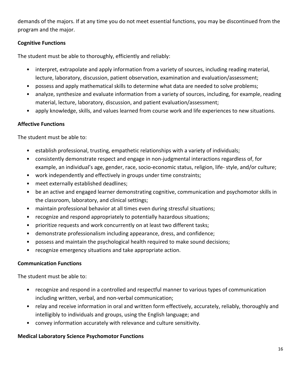demands of the majors. If at any time you do not meet essential functions, you may be discontinued from the program and the major.

# **Cognitive Functions**

The student must be able to thoroughly, efficiently and reliably:

- interpret, extrapolate and apply information from a variety of sources, including reading material, lecture, laboratory, discussion, patient observation, examination and evaluation/assessment;
- possess and apply mathematical skills to determine what data are needed to solve problems;
- analyze, synthesize and evaluate information from a variety of sources, including, for example, reading material, lecture, laboratory, discussion, and patient evaluation/assessment;
- apply knowledge, skills, and values learned from course work and life experiences to new situations.

## **Affective Functions**

The student must be able to:

- establish professional, trusting, empathetic relationships with a variety of individuals;
- consistently demonstrate respect and engage in non-judgmental interactions regardless of, for example, an individual's age, gender, race, socio-economic status, religion, life- style, and/or culture;
- work independently and effectively in groups under time constraints;
- meet externally established deadlines;
- be an active and engaged learner demonstrating cognitive, communication and psychomotor skills in the classroom, laboratory, and clinical settings;
- maintain professional behavior at all times even during stressful situations;
- recognize and respond appropriately to potentially hazardous situations;
- prioritize requests and work concurrently on at least two different tasks;
- demonstrate professionalism including appearance, dress, and confidence;
- possess and maintain the psychological health required to make sound decisions;
- recognize emergency situations and take appropriate action.

## **Communication Functions**

The student must be able to:

- recognize and respond in a controlled and respectful manner to various types of communication including written, verbal, and non-verbal communication;
- relay and receive information in oral and written form effectively, accurately, reliably, thoroughly and intelligibly to individuals and groups, using the English language; and
- convey information accurately with relevance and culture sensitivity.

## **Medical Laboratory Science Psychomotor Functions**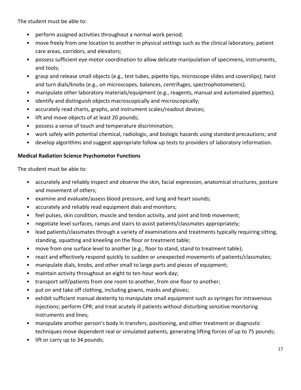The student must be able to:

- perform assigned activities throughout a normal work period;
- move freely from one location to another in physical settings such as the clinical laboratory, patient care areas, corridors, and elevators;
- possess sufficient eye-motor coordination to allow delicate manipulation of specimens, instruments, and tools;
- grasp and release small objects (e.g., test tubes, pipette tips, microscope slides and coverslips); twist and turn dials/knobs (e.g., on microscopes, balances, centrifuges, spectrophotometers);
- manipulate other laboratory materials/equipment (e.g., reagents, manual and automated pipettes);
- identify and distinguish objects macroscopically and microscopically;
- accurately read charts, graphs, and instrument scales/readout devices;
- lift and move objects of at least 20 pounds;
- possess a sense of touch and temperature discrimination;
- work safely with potential chemical, radiologic, and biologic hazards using standard precautions; and
- develop algorithms and suggest appropriate follow up tests to providers of laboratory information.

# **Medical Radiation Science Psychomotor Functions**

The student must be able to:

- accurately and reliably inspect and observe the skin, facial expression, anatomical structures, posture and movement of others;
- examine and evaluate/assess blood pressure, and lung and heart sounds;
- accurately and reliably read equipment dials and monitors;
- feel pulses, skin condition, muscle and tendon activity, and joint and limb movement;
- negotiate level surfaces, ramps and stairs to assist patients/classmates appropriately;
- lead patients/classmates through a variety of examinations and treatments typically requiring sitting, standing, squatting and kneeling on the floor or treatment table;
- move from one surface level to another (e.g., floor to stand, stand to treatment table);
- react and effectively respond quickly to sudden or unexpected movements of patients/classmates;
- manipulate dials, knobs, and other small to large parts and pieces of equipment;
- maintain activity throughout an eight to ten-hour work day;
- transport self/patients from one room to another, from one floor to another;
- put on and take off clothing, including gowns, masks and gloves;
- exhibit sufficient manual dexterity to manipulate small equipment such as syringes for intravenous injections; perform CPR; and treat acutely ill patients without disturbing sensitive monitoring instruments and lines;
- manipulate another person's body in transfers, positioning, and other treatment or diagnostic techniques move dependent real or simulated patients, generating lifting forces of up to 75 pounds;
- lift or carry up to 34 pounds;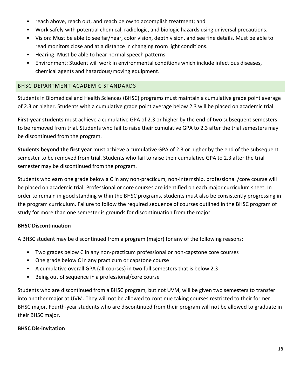- reach above, reach out, and reach below to accomplish treatment; and
- Work safely with potential chemical, radiologic, and biologic hazards using universal precautions.
- Vision: Must be able to see far/near, color vision, depth vision, and see fine details. Must be able to read monitors close and at a distance in changing room light conditions.
- Hearing: Must be able to hear normal speech patterns.
- Environment: Student will work in environmental conditions which include infectious diseases, chemical agents and hazardous/moving equipment.

### <span id="page-18-0"></span>BHSC DEPARTMENT ACADEMIC STANDARDS

Students in Biomedical and Health Sciences (BHSC) programs must maintain a cumulative grade point average of 2.3 or higher. Students with a cumulative grade point average below 2.3 will be placed on academic trial.

**First-year students** must achieve a cumulative GPA of 2.3 or higher by the end of two subsequent semesters to be removed from trial. Students who fail to raise their cumulative GPA to 2.3 after the trial semesters may be discontinued from the program.

**Students beyond the first year** must achieve a cumulative GPA of 2.3 or higher by the end of the subsequent semester to be removed from trial. Students who fail to raise their cumulative GPA to 2.3 after the trial semester may be discontinued from the program.

Students who earn one grade below a C in any non-practicum, non-internship, professional /core course will be placed on academic trial. Professional or core courses are identified on each major curriculum sheet. In order to remain in good standing within the BHSC programs, students must also be consistently progressing in the program curriculum. Failure to follow the required sequence of courses outlined in the BHSC program of study for more than one semester is grounds for discontinuation from the major.

## **BHSC Discontinuation**

A BHSC student may be discontinued from a program (major) for any of the following reasons:

- Two grades below C in any non-practicum professional or non-capstone core courses
- One grade below C in any practicum or capstone course
- A cumulative overall GPA (all courses) in two full semesters that is below 2.3
- Being out of sequence in a professional/core course

Students who are discontinued from a BHSC program, but not UVM, will be given two semesters to transfer into another major at UVM. They will not be allowed to continue taking courses restricted to their former BHSC major. Fourth-year students who are discontinued from their program will not be allowed to graduate in their BHSC major.

#### **BHSC Dis-invitation**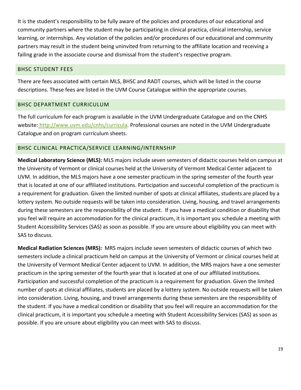It is the student's responsibility to be fully aware of the policies and procedures of our educational and community partners where the student may be participating in clinical practica, clinical internship, service learning, or internships. Any violation of the policies and/or procedures of our educational and community partners may result in the student being uninvited from returning to the affiliate location and receiving a failing grade in the associate course and dismissal from the student's respective program.

### <span id="page-19-0"></span>BHSC STUDENT FEES

There are fees associated with certain MLS, BHSC and RADT courses, which will be listed in the course descriptions. These fees are listed in the UVM Course Catalogue within the appropriate courses.

## <span id="page-19-1"></span>BHSC DEPARTMENT CURRICULUM

The full curriculum for each program is available in the UVM Undergraduate Catalogue and on the CNHS website[: http://www.uvm.edu/cnhs/curricula.](http://www.uvm.edu/cnhs/curricula) Professional courses are noted in the UVM Undergraduate Catalogue and on program curriculum sheets.

## <span id="page-19-2"></span>BHSC CLINICAL PRACTICA/SERVICE LEARNING/INTERNSHIP

**Medical Laboratory Science (MLS):** MLS majors include seven semesters of didactic courses held on campus at the University of Vermont or clinical courses held at the University of Vermont Medical Center adjacent to UVM. In addition, the MLS majors have a one semester practicum in the spring semester of the fourth year that is located at one of our affiliated institutions. Participation and successful completion of the practicum is a requirement for graduation. Given the limited number of spots at clinical affiliates, students are placed by a lottery system. No outside requests will be taken into consideration. Living, housing, and travel arrangements during these semesters are the responsibility of the student. If you have a medical condition or disability that you feel will require an accommodation for the clinical practicum, it is important you schedule a meeting with Student Accessibility Services (SAS) as soon as possible. If you are unsure about eligibility you can meet with SAS to discuss.

**Medical Radiation Sciences (MRS):** MRS majors include seven semesters of didactic courses of which two semesters include a clinical practicum held on campus at the University of Vermont or clinical courses held at the University of Vermont Medical Center adjacent to UVM. In addition, the MRS majors have a one semester practicum in the spring semester of the fourth year that is located at one of our affiliated institutions. Participation and successful completion of the practicum is a requirement for graduation. Given the limited number of spots at clinical affiliates, students are placed by a lottery system. No outside requests will be taken into consideration. Living, housing, and travel arrangements during these semesters are the responsibility of the student. If you have a medical condition or disability that you feel will require an accommodation for the clinical practicum, it is important you schedule a meeting with Student Accessibility Services (SAS) as soon as possible. If you are unsure about eligibility you can meet with SAS to discuss.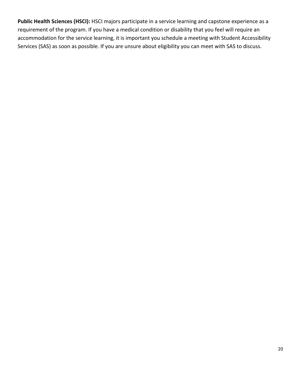**Public Health Sciences (HSCI):** HSCI majors participate in a service learning and capstone experience as a requirement of the program. If you have a medical condition or disability that you feel will require an accommodation for the service learning, it is important you schedule a meeting with Student Accessibility Services (SAS) as soon as possible. If you are unsure about eligibility you can meet with SAS to discuss.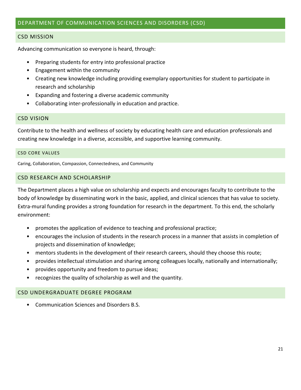### <span id="page-21-0"></span>DEPARTMENT OF COMMUNICATION SCIENCES AND DISORDERS (CSD)

#### <span id="page-21-1"></span>CSD MISSION

Advancing communication so everyone is heard, through:

- Preparing students for entry into professional practice
- Engagement within the community
- Creating new knowledge including providing exemplary opportunities for student to participate in research and scholarship
- Expanding and fostering a diverse academic community
- Collaborating inter-professionally in education and practice.

#### <span id="page-21-2"></span>CSD VISION

Contribute to the health and wellness of society by educating health care and education professionals and creating new knowledge in a diverse, accessible, and supportive learning community.

#### <span id="page-21-3"></span>CSD CORE VALUES

Caring, Collaboration, Compassion, Connectedness, and Community

#### <span id="page-21-4"></span>CSD RESEARCH AND SCHOLARSHIP

The Department places a high value on scholarship and expects and encourages faculty to contribute to the body of knowledge by disseminating work in the basic, applied, and clinical sciences that has value to society. Extra-mural funding provides a strong foundation for research in the department. To this end, the scholarly environment:

- promotes the application of evidence to teaching and professional practice;
- encourages the inclusion of students in the research process in a manner that assists in completion of projects and dissemination of knowledge;
- mentors students in the development of their research careers, should they choose this route;
- provides intellectual stimulation and sharing among colleagues locally, nationally and internationally;
- provides opportunity and freedom to pursue ideas;
- recognizes the quality of scholarship as well and the quantity.

#### <span id="page-21-5"></span>CSD UNDERGRADUATE DEGREE PROGRAM

• Communication Sciences and Disorders B.S.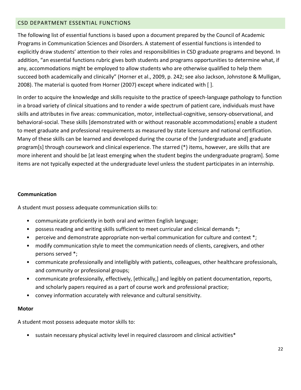### <span id="page-22-0"></span>CSD DEPARTMENT ESSENTIAL FUNCTIONS

The following list of essential functions is based upon a document prepared by the Council of Academic Programs in Communication Sciences and Disorders. A statement of essential functions is intended to explicitly draw students' attention to their roles and responsibilities in CSD graduate programs and beyond. In addition, "an essential functions rubric gives both students and programs opportunities to determine what, if any, accommodations might be employed to allow students who are otherwise qualified to help them succeed both academically and clinically" (Horner et al., 2009, p. 242; see also Jackson, Johnstone & Mulligan, 2008). The material is quoted from Horner (2007) except where indicated with [ ].

In order to acquire the knowledge and skills requisite to the practice of speech-language pathology to function in a broad variety of clinical situations and to render a wide spectrum of patient care, individuals must have skills and attributes in five areas: communication, motor, intellectual-cognitive, sensory-observational, and behavioral-social. These skills [demonstrated with or without reasonable accommodations] enable a student to meet graduate and professional requirements as measured by state licensure and national certification. Many of these skills can be learned and developed during the course of the [undergraduate and] graduate program[s] through coursework and clinical experience. The starred (\*) items, however, are skills that are more inherent and should be [at least emerging when the student begins the undergraduate program]. Some items are not typically expected at the undergraduate level unless the student participates in an internship.

#### **Communication**

A student must possess adequate communication skills to:

- communicate proficiently in both oral and written English language;
- possess reading and writing skills sufficient to meet curricular and clinical demands \*;
- perceive and demonstrate appropriate non-verbal communication for culture and context \*;
- modify communication style to meet the communication needs of clients, caregivers, and other persons served \*;
- communicate professionally and intelligibly with patients, colleagues, other healthcare professionals, and community or professional groups;
- communicate professionally, effectively, [ethically,] and legibly on patient documentation, reports, and scholarly papers required as a part of course work and professional practice;
- convey information accurately with relevance and cultural sensitivity.

#### **Motor**

A student most possess adequate motor skills to:

• sustain necessary physical activity level in required classroom and clinical activities\*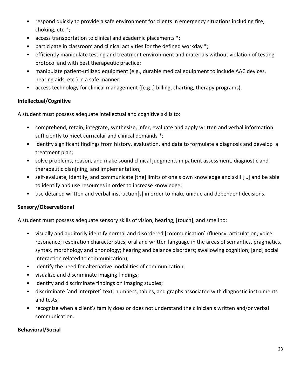- respond quickly to provide a safe environment for clients in emergency situations including fire, choking, etc.\*;
- access transportation to clinical and academic placements \*;
- participate in classroom and clinical activities for the defined workday \*;
- efficiently manipulate testing and treatment environment and materials without violation of testing protocol and with best therapeutic practice;
- manipulate patient-utilized equipment (e.g., durable medical equipment to include AAC devices, hearing aids, etc.) in a safe manner;
- access technology for clinical management ([e.g.,] billing, charting, therapy programs).

# **Intellectual/Cognitive**

A student must possess adequate intellectual and cognitive skills to:

- comprehend, retain, integrate, synthesize, infer, evaluate and apply written and verbal information sufficiently to meet curricular and clinical demands \*;
- identify significant findings from history, evaluation, and data to formulate a diagnosis and develop a treatment plan;
- solve problems, reason, and make sound clinical judgments in patient assessment, diagnostic and therapeutic plan[ning] and implementation;
- self-evaluate, identify, and communicate [the] limits of one's own knowledge and skill […] and be able to identify and use resources in order to increase knowledge;
- use detailed written and verbal instruction[s] in order to make unique and dependent decisions.

# **Sensory/Observational**

A student must possess adequate sensory skills of vision, hearing, [touch], and smell to:

- visually and auditorily identify normal and disordered [communication] (fluency; articulation; voice; resonance; respiration characteristics; oral and written language in the areas of semantics, pragmatics, syntax, morphology and phonology; hearing and balance disorders; swallowing cognition; [and] social interaction related to communication);
- identify the need for alternative modalities of communication;
- visualize and discriminate imaging findings;
- identify and discriminate findings on imaging studies;
- discriminate [and interpret] text, numbers, tables, and graphs associated with diagnostic instruments and tests;
- recognize when a client's family does or does not understand the clinician's written and/or verbal communication.

## **Behavioral/Social**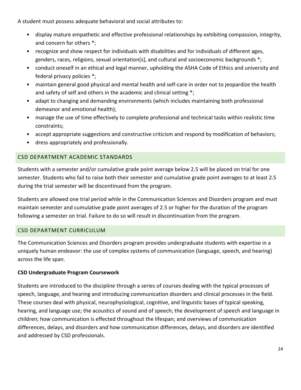A student must possess adequate behavioral and social attributes to:

- display mature empathetic and effective professional relationships by exhibiting compassion, integrity, and concern for others \*;
- recognize and show respect for individuals with disabilities and for individuals of different ages, genders, races, religions, sexual orientation[s], and cultural and socioeconomic backgrounds \*;
- conduct oneself in an ethical and legal manner, upholding the ASHA Code of Ethics and university and federal privacy policies \*;
- maintain general good physical and mental health and self-care in order not to jeopardize the health and safety of self and others in the academic and clinical setting \*;
- adapt to changing and demanding environments (which includes maintaining both professional demeanor and emotional health);
- manage the use of time effectively to complete professional and technical tasks within realistic time constraints;
- accept appropriate suggestions and constructive criticism and respond by modification of behaviors;
- dress appropriately and professionally.

# <span id="page-24-0"></span>CSD DEPARTMENT ACADEMIC STANDARDS

Students with a semester and/or cumulative grade point average below 2.5 will be placed on trial for one semester. Students who fail to raise both their semester and cumulative grade point averages to at least 2.5 during the trial semester will be discontinued from the program.

Students are allowed one trial period while in the Communication Sciences and Disorders program and must maintain semester and cumulative grade point averages of 2.5 or higher for the duration of the program following a semester on trial. Failure to do so will result in discontinuation from the program.

# <span id="page-24-1"></span>CSD DEPARTMENT CURRICULUM

The Communication Sciences and Disorders program provides undergraduate students with expertise in a uniquely human endeavor: the use of complex systems of communication (language, speech, and hearing) across the life span.

# **CSD Undergraduate Program Coursework**

Students are introduced to the discipline through a series of courses dealing with the typical processes of speech, language, and hearing and introducing communication disorders and clinical processes in the field. These courses deal with physical, neurophysiological, cognitive, and linguistic bases of typical speaking, hearing, and language use; the acoustics of sound and of speech; the development of speech and language in children; how communication is effected throughout the lifespan; and overviews of communication differences, delays, and disorders and how communication differences, delays, and disorders are identified and addressed by CSD professionals.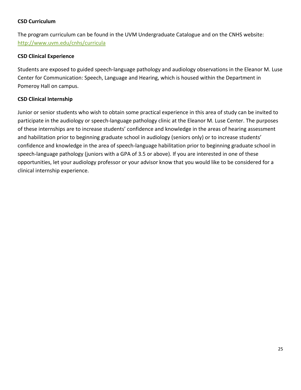## **CSD Curriculum**

The program curriculum can be found in the UVM Undergraduate Catalogue and on the CNHS website: <http://www.uvm.edu/cnhs/curricula>

## **CSD Clinical Experience**

Students are exposed to guided speech-language pathology and audiology observations in the Eleanor M. Luse Center for Communication: Speech, Language and Hearing, which is housed within the Department in Pomeroy Hall on campus.

## **CSD Clinical Internship**

Junior or senior students who wish to obtain some practical experience in this area of study can be invited to participate in the audiology or speech-language pathology clinic at the Eleanor M. Luse Center. The purposes of these internships are to increase students' confidence and knowledge in the areas of hearing assessment and habilitation prior to beginning graduate school in audiology (seniors only) or to increase students' confidence and knowledge in the area of speech-language habilitation prior to beginning graduate school in speech-language pathology (juniors with a GPA of 3.5 or above). If you are interested in one of these opportunities, let your audiology professor or your advisor know that you would like to be considered for a clinical internship experience.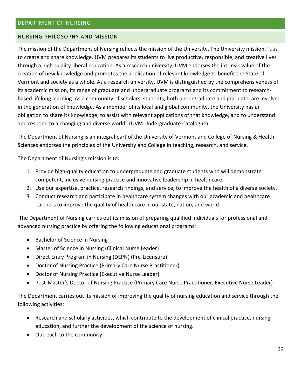#### <span id="page-26-1"></span><span id="page-26-0"></span>NURSING PHILOSOPHY AND MISSION

The mission of the Department of Nursing reflects the mission of the University. The University mission, "...is to create and share knowledge. UVM prepares its students to live productive, responsible, and creative lives through a high-quality liberal education. As a research university, UVM endorses the intrinsic value of the creation of new knowledge and promotes the application of relevant knowledge to benefit the State of Vermont and society as a whole. As a research university, UVM is distinguished by the comprehensiveness of its academic mission, its range of graduate and undergraduate programs and its commitment to researchbased lifelong learning. As a community of scholars, students, both undergraduate and graduate, are involved in the generation of knowledge. As a member of its local and global community, the University has an obligation to share its knowledge, to assist with relevant applications of that knowledge, and to understand and respond to a changing and diverse world" (UVM Undergraduate Catalogue).

The Department of Nursing is an integral part of the University of Vermont and College of Nursing & Health Sciences endorses the principles of the University and College in teaching, research, and service.

The Department of Nursing's mission is to:

- 1. Provide high-quality education to undergraduate and graduate students who will demonstrate competent, inclusive nursing practice and innovative leadership in health care.
- 2. Use our expertise, practice, research findings, and service, to improve the health of a diverse society.
- 3. Conduct research and participate in healthcare system changes with our academic and healthcare partners to improve the quality of health care in our state, nation, and world.

The Department of Nursing carries out its mission of preparing qualified individuals for professional and advanced nursing practice by offering the following educational programs:

- Bachelor of Science in Nursing
- Master of Science in Nursing (Clinical Nurse Leader)
- Direct Entry Program in Nursing (DEPN) (Pre-Licensure)
- Doctor of Nursing Practice (Primary Care Nurse Practitioner)
- Doctor of Nursing Practice (Executive Nurse Leader)
- Post-Master's Doctor of Nursing Practice (Primary Care Nurse Practitioner, Executive Nurse Leader)

The Department carries out its mission of improving the quality of nursing education and service through the following activities:

- Research and scholarly activities, which contribute to the development of clinical practice, nursing education, and further the development of the science of nursing.
- Outreach to the community.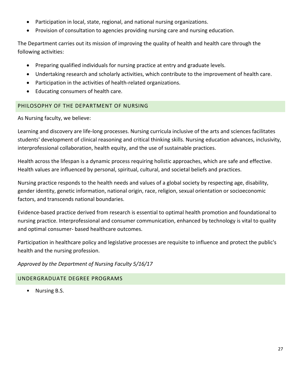- Participation in local, state, regional, and national nursing organizations.
- Provision of consultation to agencies providing nursing care and nursing education.

The Department carries out its mission of improving the quality of health and health care through the following activities:

- Preparing qualified individuals for nursing practice at entry and graduate levels.
- Undertaking research and scholarly activities, which contribute to the improvement of health care.
- Participation in the activities of health-related organizations.
- Educating consumers of health care.

# <span id="page-27-0"></span>PHILOSOPHY OF THE DEPARTMENT OF NURSING

As Nursing faculty, we believe:

Learning and discovery are life-long processes. Nursing curricula inclusive of the arts and sciences facilitates students' development of clinical reasoning and critical thinking skills. Nursing education advances, inclusivity, interprofessional collaboration, health equity, and the use of sustainable practices.

Health across the lifespan is a dynamic process requiring holistic approaches, which are safe and effective. Health values are influenced by personal, spiritual, cultural, and societal beliefs and practices.

Nursing practice responds to the health needs and values of a global society by respecting age, disability, gender identity, genetic information, national origin, race, religion, sexual orientation or socioeconomic factors, and transcends national boundaries.

Evidence-based practice derived from research is essential to optimal health promotion and foundational to nursing practice. Interprofessional and consumer communication, enhanced by technology is vital to quality and optimal consumer- based healthcare outcomes.

Participation in healthcare policy and legislative processes are requisite to influence and protect the public's health and the nursing profession.

## *Approved by the Department of Nursing Faculty 5/16/17*

## <span id="page-27-1"></span>UNDERGRADUATE DEGREE PROGRAMS

• Nursing B.S.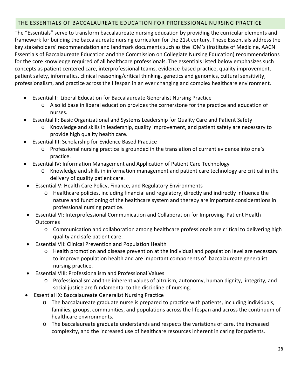# <span id="page-28-0"></span>THE ESSENTIALS OF BACCALAUREATE EDUCATION FOR PROFESSIONAL NURSING PRACTICE

The "Essentials" serve to transform baccalaureate nursing education by providing the curricular elements and framework for building the baccalaureate nursing curriculum for the 21st century. These Essentials address the key stakeholders' recommendation and landmark documents such as the IOM's (Institute of Medicine, AACN Essentials of Baccalaureate Education and the Commission on Collegiate Nursing Education) recommendations for the core knowledge required of all healthcare professionals. The essentials listed below emphasizes such concepts as patient centered care, interprofessional teams, evidence-based practice, quality improvement, patient safety, informatics, clinical reasoning/critical thinking, genetics and genomics, cultural sensitivity, professionalism, and practice across the lifespan in an ever changing and complex healthcare environment.

- Essential I: Liberal Education for Baccalaureate Generalist Nursing Practice
	- o A solid base in liberal education provides the cornerstone for the practice and education of nurses.
- Essential II: Basic Organizational and Systems Leadership for Quality Care and Patient Safety
	- o Knowledge and skills in leadership, quality improvement, and patient safety are necessary to provide high quality health care.
- Essential III: Scholarship for Evidence Based Practice
	- o Professional nursing practice is grounded in the translation of current evidence into one's practice.
- Essential IV: Information Management and Application of Patient Care Technology
	- o Knowledge and skills in information management and patient care technology are critical in the delivery of quality patient care.
- Essential V: Health Care Policy, Finance, and Regulatory Environments
	- o Healthcare policies, including financial and regulatory, directly and indirectly influence the nature and functioning of the healthcare system and thereby are important considerations in professional nursing practice.
- Essential VI: Interprofessional Communication and Collaboration for Improving Patient Health **Outcomes** 
	- o Communication and collaboration among healthcare professionals are critical to delivering high quality and safe patient care.
- Essential VII: Clinical Prevention and Population Health
	- o Health promotion and disease prevention at the individual and population level are necessary to improve population health and are important components of baccalaureate generalist nursing practice.
- Essential VIII: Professionalism and Professional Values
	- o Professionalism and the inherent values of altruism, autonomy, human dignity, integrity, and social justice are fundamental to the discipline of nursing.
- Essential IX: Baccalaureate Generalist Nursing Practice
	- o The baccalaureate graduate nurse is prepared to practice with patients, including individuals, families, groups, communities, and populations across the lifespan and across the continuum of healthcare environments.
	- o The baccalaureate graduate understands and respects the variations of care, the increased complexity, and the increased use of healthcare resources inherent in caring for patients.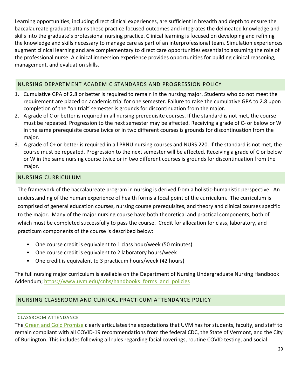Learning opportunities, including direct clinical experiences, are sufficient in breadth and depth to ensure the baccalaureate graduate attains these practice focused outcomes and integrates the delineated knowledge and skills into the graduate's professional nursing practice. Clinical learning is focused on developing and refining the knowledge and skills necessary to manage care as part of an interprofessional team. Simulation experiences augment clinical learning and are complementary to direct care opportunities essential to assuming the role of the professional nurse. A clinical immersion experience provides opportunities for building clinical reasoning, management, and evaluation skills.

## <span id="page-29-0"></span>NURSING DEPARTMENT ACADEMIC STANDARDS AND PROGRESSION POLICY

- 1. Cumulative GPA of 2.8 or better is required to remain in the nursing major. Students who do not meet the requirement are placed on academic trial for one semester. Failure to raise the cumulative GPA to 2.8 upon completion of the "on trial" semester is grounds for discontinuation from the major.
- 2. A grade of C or better is required in all nursing prerequisite courses. If the standard is not met, the course must be repeated. Progression to the next semester may be affected. Receiving a grade of C- or below or W in the same prerequisite course twice or in two different courses is grounds for discontinuation from the major.
- 3. A grade of C+ or better is required in all PRNU nursing courses and NURS 220. If the standard is not met, the course must be repeated. Progression to the next semester will be affected. Receiving a grade of C or below or W in the same nursing course twice or in two different courses is grounds for discontinuation from the major.

# <span id="page-29-1"></span>NURSING CURRICULUM

The framework of the baccalaureate program in nursing is derived from a holistic-humanistic perspective. An understanding of the human experience of health forms a focal point of the curriculum. The curriculum is comprised of general education courses, nursing course prerequisites, and theory and clinical courses specific to the major. Many of the major nursing course have both theoretical and practical components, both of which must be completed successfully to pass the course. Credit for allocation for class, laboratory, and practicum components of the course is described below:

- One course credit is equivalent to 1 class hour/week (50 minutes)
- One course credit is equivalent to 2 laboratory hours/week
- One credit is equivalent to 3 practicum hours/week (42 hours)

The full nursing major curriculum is available on the Department of Nursing Undergraduate Nursing Handbook Addendum; https://www.uvm.edu/cnhs/handbooks\_forms\_and\_policies

# <span id="page-29-2"></span>NURSING CLASSROOM AND CLINICAL PRACTICUM ATTENDANCE POLICY

## <span id="page-29-3"></span>CLASSROOM ATTENDANCE

The [Green and Gold Promise](https://www.uvm.edu/deanofstudents/green-and-gold-promise) clearly articulates the expectations that UVM has for students, faculty, and staff to remain compliant with all COVID-19 recommendations from the federal CDC, the State of Vermont, and the City of Burlington. This includes following all rules regarding facial coverings, routine COVID testing, and social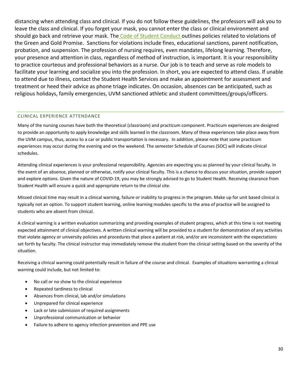distancing when attending class and clinical. If you do not follow these guidelines, the professors will ask you to leave the class and clinical. If you forget your mask, you cannot enter the class or clinical environment and should go back and retrieve your mask. The [Code of Student Conduct o](https://www.uvm.edu/sites/default/files/UVM-Policies/policies/studentcode.pdf)utlines policies related to violations of the Green and Gold Promise. Sanctions for violations include fines, educational sanctions, parent notification, probation, and suspension. The profession of nursing requires, even mandates, lifelong learning. Therefore, your presence and attention in class, regardless of method of instruction, is important. It is your responsibility to practice courteous and professional behaviors as a nurse. Our job is to teach and serve as role models to facilitate your learning and socialize you into the profession. In short, you are expected to attend class. If unable to attend due to illness, contact the Student Health Services and make an appointment for assessment and treatment or heed their advice as phone triage indicates. On occasion, absences can be anticipated, such as religious holidays, family emergencies, UVM sanctioned athletic and student committees/groups/officers.

#### <span id="page-30-0"></span>CLINICAL EXPERIENCE ATTENDANCE

Many of the nursing courses have both the theoretical (classroom) and practicum component. Practicum experiences are designed to provide an opportunity to apply knowledge and skills learned in the classroom. Many of these experiences take place away from the UVM campus, thus, access to a car or public transportation is necessary. In addition, please note that some practicum experiences may occur during the evening and on the weekend. The semester Schedule of Courses (SOC) will indicate clinical schedules.

Attending clinical experiences is your professional responsibility. Agencies are expecting you as planned by your clinical faculty. In the event of an absence, planned or otherwise, notify your clinical faculty. This is a chance to discuss your situation, provide support and explore options. Given the nature of COVID-19, you may be strongly advised to go to Student Health. Receiving clearance from Student Health will ensure a quick and appropriate return to the clinical site.

Missed clinical time may result in a clinical warning, failure or inability to progress in the program. Make up for unit based clinical is typically not an option. To support student learning, online learning modules specific to the area of practice will be assigned to students who are absent from clinical.

A clinical warning is a written evaluation summarizing and providing examples of student progress, which at this time is not meeting expected attainment of clinical objectives. A written clinical warning will be provided to a student for demonstration of any activities that violate agency or university policies and procedures that place a patient at risk, and/or are inconsistent with the expectations set forth by faculty. The clinical instructor may immediately remove the student from the clinical setting based on the severity of the situation.

Receiving a clinical warning could potentially result in failure of the course and clinical. Examples of situations warranting a clinical warning could include, but not limited to:

- No call or no show to the clinical experience
- Repeated tardiness to clinical
- Absences from clinical, lab and/or simulations
- Unprepared for clinical experience
- Lack or late submission of required assignments
- Unprofessional communication or behavior
- Failure to adhere to agency infection prevention and PPE use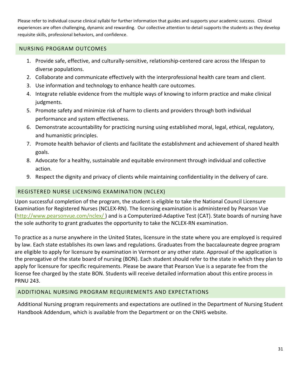Please refer to individual course clinical syllabi for further information that guides and supports your academic success. Clinical experiences are often challenging, dynamic and rewarding. Our collective attention to detail supports the students as they develop requisite skills, professional behaviors, and confidence.

### <span id="page-31-0"></span>NURSING PROGRAM OUTCOMES

- 1. Provide safe, effective, and culturally-sensitive, relationship-centered care across the lifespan to diverse populations.
- 2. Collaborate and communicate effectively with the interprofessional health care team and client.
- 3. Use information and technology to enhance health care outcomes.
- 4. Integrate reliable evidence from the multiple ways of knowing to inform practice and make clinical judgments.
- 5. Promote safety and minimize risk of harm to clients and providers through both individual performance and system effectiveness.
- 6. Demonstrate accountability for practicing nursing using established moral, legal, ethical, regulatory, and humanistic principles.
- 7. Promote health behavior of clients and facilitate the establishment and achievement of shared health goals.
- 8. Advocate for a healthy, sustainable and equitable environment through individual and collective action.
- 9. Respect the dignity and privacy of clients while maintaining confidentiality in the delivery of care.

## <span id="page-31-1"></span>REGISTERED NURSE LICENSING EXAMINATION (NCLEX)

Upon successful completion of the program, the student is eligible to take the National Council Licensure Examination for Registered Nurses (NCLEX-RN). The licensing examination is administered by Pearson Vue [\(http://www.pearsonvue.com/nclex/ \)](http://www.pearsonvue.com/nclex/) and is a Computerized-Adaptive Test (CAT). State boards of nursing have the sole authority to grant graduates the opportunity to take the NCLEX-RN examination.

To practice as a nurse anywhere in the United States, licensure in the state where you are employed is required by law. Each state establishes its own laws and regulations. Graduates from the baccalaureate degree program are eligible to apply for licensure by examination in Vermont or any other state. Approval of the application is the prerogative of the state board of nursing (BON). Each student should refer to the state in which they plan to apply for licensure for specific requirements. Please be aware that Pearson Vue is a separate fee from the license fee charged by the state BON. Students will receive detailed information about this entire process in PRNU 243.

## <span id="page-31-2"></span>ADDITIONAL NURSING PROGRAM REQUIREMENTS AND EXPECTATIONS

Additional Nursing program requirements and expectations are outlined in the Department of Nursing Student Handbook Addendum, which is available from the Department or on the CNHS website.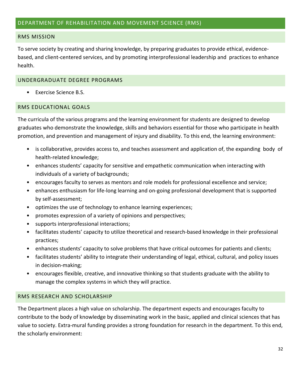#### <span id="page-32-1"></span><span id="page-32-0"></span>RMS MISSION

To serve society by creating and sharing knowledge, by preparing graduates to provide ethical, evidencebased, and client-centered services, and by promoting interprofessional leadership and practices to enhance health.

#### <span id="page-32-2"></span>UNDERGRADUATE DEGREE PROGRAMS

• Exercise Science B.S.

### <span id="page-32-3"></span>RMS EDUCATIONAL GOALS

The curricula of the various programs and the learning environment for students are designed to develop graduates who demonstrate the knowledge, skills and behaviors essential for those who participate in health promotion, and prevention and management of injury and disability. To this end, the learning environment:

- is collaborative, provides access to, and teaches assessment and application of, the expanding body of health-related knowledge;
- enhances students' capacity for sensitive and empathetic communication when interacting with individuals of a variety of backgrounds;
- encourages faculty to serves as mentors and role models for professional excellence and service;
- enhances enthusiasm for life-long learning and on-going professional development that is supported by self-assessment;
- optimizes the use of technology to enhance learning experiences;
- promotes expression of a variety of opinions and perspectives;
- supports interprofessional interactions;
- facilitates students' capacity to utilize theoretical and research-based knowledge in their professional practices;
- enhances students' capacity to solve problems that have critical outcomes for patients and clients;
- facilitates students' ability to integrate their understanding of legal, ethical, cultural, and policy issues in decision-making;
- encourages flexible, creative, and innovative thinking so that students graduate with the ability to manage the complex systems in which they will practice.

#### <span id="page-32-4"></span>RMS RESEARCH AND SCHOLARSHIP

The Department places a high value on scholarship. The department expects and encourages faculty to contribute to the body of knowledge by disseminating work in the basic, applied and clinical sciences that has value to society. Extra-mural funding provides a strong foundation for research in the department. To this end, the scholarly environment: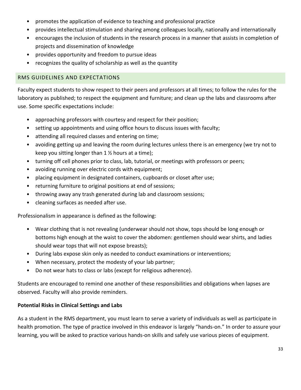- promotes the application of evidence to teaching and professional practice
- provides intellectual stimulation and sharing among colleagues locally, nationally and internationally
- encourages the inclusion of students in the research process in a manner that assists in completion of projects and dissemination of knowledge
- provides opportunity and freedom to pursue ideas
- recognizes the quality of scholarship as well as the quantity

## <span id="page-33-0"></span>RMS GUIDELINES AND EXPECTATIONS

Faculty expect students to show respect to their peers and professors at all times; to follow the rules for the laboratory as published; to respect the equipment and furniture; and clean up the labs and classrooms after use. Some specific expectations include:

- approaching professors with courtesy and respect for their position;
- setting up appointments and using office hours to discuss issues with faculty;
- attending all required classes and entering on time;
- avoiding getting up and leaving the room during lectures unless there is an emergency (we try not to keep you sitting longer than  $1 \frac{1}{2}$  hours at a time);
- turning off cell phones prior to class, lab, tutorial, or meetings with professors or peers;
- avoiding running over electric cords with equipment;
- placing equipment in designated containers, cupboards or closet after use;
- returning furniture to original positions at end of sessions;
- throwing away any trash generated during lab and classroom sessions;
- cleaning surfaces as needed after use.

Professionalism in appearance is defined as the following:

- Wear clothing that is not revealing (underwear should not show, tops should be long enough or bottoms high enough at the waist to cover the abdomen: gentlemen should wear shirts, and ladies should wear tops that will not expose breasts);
- During labs expose skin only as needed to conduct examinations or interventions;
- When necessary, protect the modesty of your lab partner;
- Do not wear hats to class or labs (except for religious adherence).

Students are encouraged to remind one another of these responsibilities and obligations when lapses are observed. Faculty will also provide reminders.

## **Potential Risks in Clinical Settings and Labs**

As a student in the RMS department, you must learn to serve a variety of individuals as well as participate in health promotion. The type of practice involved in this endeavor is largely "hands-on." In order to assure your learning, you will be asked to practice various hands-on skills and safely use various pieces of equipment.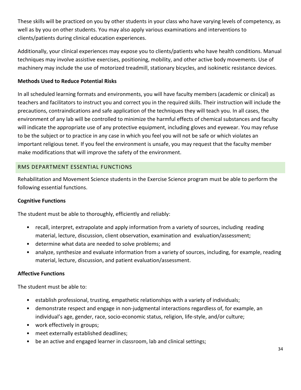These skills will be practiced on you by other students in your class who have varying levels of competency, as well as by you on other students. You may also apply various examinations and interventions to clients/patients during clinical education experiences.

Additionally, your clinical experiences may expose you to clients/patients who have health conditions. Manual techniques may involve assistive exercises, positioning, mobility, and other active body movements. Use of machinery may include the use of motorized treadmill, stationary bicycles, and isokinetic resistance devices.

# **Methods Used to Reduce Potential Risks**

In all scheduled learning formats and environments, you will have faculty members (academic or clinical) as teachers and facilitators to instruct you and correct you in the required skills. Their instruction will include the precautions, contraindications and safe application of the techniques they will teach you. In all cases, the environment of any lab will be controlled to minimize the harmful effects of chemical substances and faculty will indicate the appropriate use of any protective equipment, including gloves and eyewear. You may refuse to be the subject or to practice in any case in which you feel you will not be safe or which violates an important religious tenet. If you feel the environment is unsafe, you may request that the faculty member make modifications that will improve the safety of the environment.

# <span id="page-34-0"></span>RMS DEPARTMENT ESSENTIAL FUNCTIONS

Rehabilitation and Movement Science students in the Exercise Science program must be able to perform the following essential functions.

## **Cognitive Functions**

The student must be able to thoroughly, efficiently and reliably:

- recall, interpret, extrapolate and apply information from a variety of sources, including reading material, lecture, discussion, client observation, examination and evaluation/assessment;
- determine what data are needed to solve problems; and
- analyze, synthesize and evaluate information from a variety of sources, including, for example, reading material, lecture, discussion, and patient evaluation/assessment.

## **Affective Functions**

The student must be able to:

- establish professional, trusting, empathetic relationships with a variety of individuals;
- demonstrate respect and engage in non-judgmental interactions regardless of, for example, an individual's age, gender, race, socio-economic status, religion, life-style, and/or culture;
- work effectively in groups;
- meet externally established deadlines;
- be an active and engaged learner in classroom, lab and clinical settings;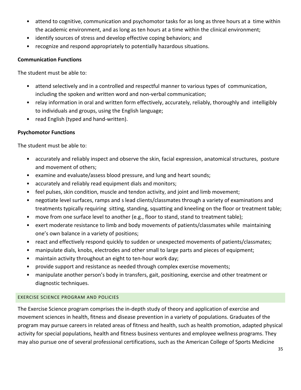- attend to cognitive, communication and psychomotor tasks for as long as three hours at a time within the academic environment, and as long as ten hours at a time within the clinical environment;
- identify sources of stress and develop effective coping behaviors; and
- recognize and respond appropriately to potentially hazardous situations.

#### **Communication Functions**

The student must be able to:

- attend selectively and in a controlled and respectful manner to various types of communication, including the spoken and written word and non-verbal communication;
- relay information in oral and written form effectively, accurately, reliably, thoroughly and intelligibly to individuals and groups, using the English language;
- read English (typed and hand-written).

## **Psychomotor Functions**

The student must be able to:

- accurately and reliably inspect and observe the skin, facial expression, anatomical structures, posture and movement of others;
- examine and evaluate/assess blood pressure, and lung and heart sounds;
- accurately and reliably read equipment dials and monitors;
- feel pulses, skin condition, muscle and tendon activity, and joint and limb movement;
- negotiate level surfaces, ramps and s lead clients/classmates through a variety of examinations and treatments typically requiring sitting, standing, squatting and kneeling on the floor or treatment table;
- move from one surface level to another (e.g., floor to stand, stand to treatment table);
- exert moderate resistance to limb and body movements of patients/classmates while maintaining one's own balance in a variety of positions;
- react and effectively respond quickly to sudden or unexpected movements of patients/classmates;
- manipulate dials, knobs, electrodes and other small to large parts and pieces of equipment;
- maintain activity throughout an eight to ten-hour work day;
- provide support and resistance as needed through complex exercise movements;
- manipulate another person's body in transfers, gait, positioning, exercise and other treatment or diagnostic techniques.

#### <span id="page-35-0"></span>EXERCISE SCIENCE PROGRAM AND POLICIES

The Exercise Science program comprises the in-depth study of theory and application of exercise and movement sciences in health, fitness and disease prevention in a variety of populations. Graduates of the program may pursue careers in related areas of fitness and health, such as health promotion, adapted physical activity for special populations, health and fitness business ventures and employee wellness programs. They may also pursue one of several professional certifications, such as the American College of Sports Medicine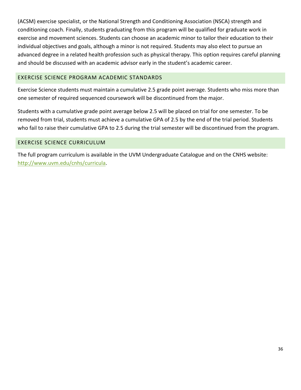(ACSM) exercise specialist, or the National Strength and Conditioning Association (NSCA) strength and conditioning coach. Finally, students graduating from this program will be qualified for graduate work in exercise and movement sciences. Students can choose an academic minor to tailor their education to their individual objectives and goals, although a minor is not required. Students may also elect to pursue an advanced degree in a related health profession such as physical therapy. This option requires careful planning and should be discussed with an academic advisor early in the student's academic career.

#### <span id="page-36-0"></span>EXERCISE SCIENCE PROGRAM ACADEMIC STANDARDS

Exercise Science students must maintain a cumulative 2.5 grade point average. Students who miss more than one semester of required sequenced coursework will be discontinued from the major.

Students with a cumulative grade point average below 2.5 will be placed on trial for one semester. To be removed from trial, students must achieve a cumulative GPA of 2.5 by the end of the trial period. Students who fail to raise their cumulative GPA to 2.5 during the trial semester will be discontinued from the program.

#### <span id="page-36-1"></span>EXERCISE SCIENCE CURRICULUM

The full program curriculum is available in the UVM Undergraduate Catalogue and on the CNHS website: [http://www.uvm.edu/cnhs/curricula.](http://www.uvm.edu/cnhs/curricula)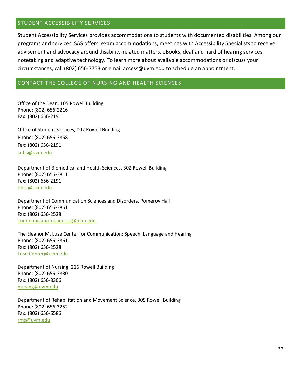#### <span id="page-37-0"></span>STUDENT ACCESSIBILITY SERVICES

Student Accessibility Services provides accommodations to students with documented disabilities. Among our programs and services, SAS offers: exam accommodations, meetings with Accessibility Specialists to receive advisement and advocacy around disability-related matters, eBooks, deaf and hard of hearing services, notetaking and adaptive technology. To learn more about available accommodations or discuss your circumstances, call (802) 656-7753 or email access@uvm.edu to schedule an appointment.

#### <span id="page-37-1"></span>CONTACT THE COLLEGE OF NURSING AND HEALTH SCIENCES

Office of the Dean, 105 Rowell Building Phone: (802) 656-2216 Fax: (802) 656-2191

Office of Student Services, 002 Rowell Building Phone: (802) 656-3858 Fax: (802) 656-2191 [cnhs@uvm.edu](mailto:cnhs@uvm.edu)

Department of Biomedical and Health Sciences, 302 Rowell Building Phone: (802) 656-3811 Fax: (802) 656-2191 [bhsc@uvm.edu](mailto:bhsc@uvm.edu)

Department of Communication Sciences and Disorders, Pomeroy Hall Phone: (802) 656-3861 Fax: (802) 656-2528 [communication.sciences@uvm.edu](mailto:communication.sciences@uvm.edu)

The Eleanor M. Luse Center for Communication: Speech, Language and Hearing Phone: (802) 656-3861 Fax: (802) 656-2528 [Luse.Center@uvm.edu](mailto:Luse.Center@uvm.edu)

Department of Nursing, 216 Rowell Building Phone: (802) 656-3830 Fax: (802) 656-8306 [nursing@uvm.edu](mailto:nursing@uvm.edu) 

Department of Rehabilitation and Movement Science, 305 Rowell Building Phone: (802) 656-3252 Fax: (802) 656-6586 [rms@uvm.edu](mailto:rms@uvm.edu)